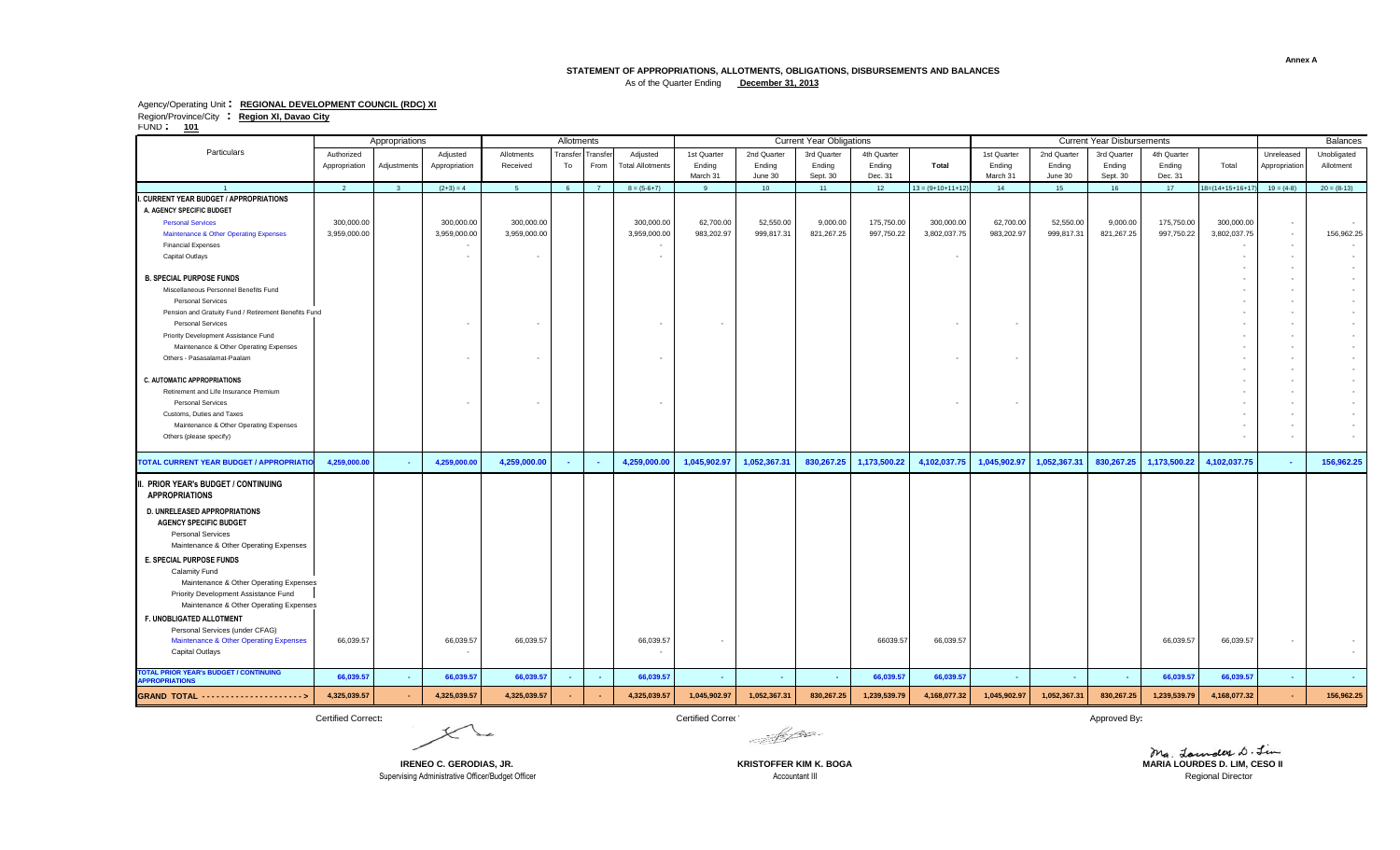## As of the Quarter Ending **December 31, 2013 STATEMENT OF APPROPRIATIONS, ALLOTMENTS, OBLIGATIONS, DISBURSEMENTS AND BALANCES**

Agency/Operating Unit **: REGIONAL DEVELOPMENT COUNCIL (RDC) XI**

Region/Province/City **: Region XI, Davao City**

FUND **: <sup>101</sup>** Authorized | Adjusted | Allotments |Transfer Transfer Adjusted | 1st Quarter | 2nd Quarter | 3rd Quarter | 4th Quarter | 1st Quarter | 1st Quarter | 4th Quarter | 1st Quarter | 2nd Quarter | 2nd Quarter | 2nd Quarter | 3rd Appropriation Adjustments Appropriation Received To From Total Allotments Ending Ending Ending Ending Ending Ending Ending Ending Ending Total Appropriation Allotment March 31 | June 30 | Sept. 30 | Dec. 31 | March 31 | June 30 | Sept. 30 | Dec. 31 1 2 3 (2+3)≡ 4 5 6 7 8 ≤ 65-6+7) 9 10 11 1 2 13≡ (9+10+11+12) 14 15 16 17 18≡ (14+15+16+17) 19 = (4-8) 20 = (8-13) **I. CURRENT YEAR BUDGET / APPROPRIATIONS A. AGENCY SPECIFIC BUDGET** Personal Services 300,000.00 | 300,000.00 | 300,000.00 | | | 300,000.00 | 52,700.00 | 52,550.00 9,000.00 | 175,750.00 | 52,500.00 | 52,550.00 | 300,000.00 | 52,550.00 | 52,550.00 | 175,750.00 | 300,000.00 | - | - -Maintenance & Other Operating Expenses 3,959,000.00 3,959,000.00 3,959,000.00 3,959,000.00 3,959,000.00 3,959,000.00 3,959,000.00 3,959,000.00 3,959,000.00 3,959,000.00 3,959,000.00 3,959,000.00 3,959,000.00 3,959,000.00 3 Financial Expenses - - - - - Capital Outlays - - - - - - - - - -  **B. SPECIAL PURPOSE FUNDS** - - - Miscellaneous Personnel Benefits Fund - - - Personal Services - - - Pension and Gratuity Fund / Retirement Benefits Fund - - - Personal Services - - - - - - - - - Priority Development Assistance Fund - - - Maintenance & Other Operating Expenses - - - Others - Pasasalamat-Paalam - - - - - - - - - - -  **C. AUTOMATIC APPROPRIATIONS** - - - Retirement and Life Insurance Premium - - - Personal Services - - - - - - - - Customs, Duties and Taxes - - - Maintenance & Other Operating Expenses and the content of the content of the content of the content of the content of the content of the content of the content of the content of the content of the content of the content of Others (please specify) - - - TOTAL CURRENT YEAR BUDGET / APPROPRIATIO 4.259.000.00 - 4.259.000.00 4.259.000.00 - 4.259.000.00 - 4.259.000.00 1.045.902.97 1.052.367.31 830.267.25 1.173.500.22 4.102.037.75 1.045.902.97 1.052.367.31 830.267.25 1.045.902. **II. PRIOR YEAR's BUDGET / CONTINUING APPROPRIATIONS D. UNRELEASED APPROPRIATIONS AGENCY SPECIFIC BUDGET** Personal Services Maintenance & Other Operating Expenses  **E. SPECIAL PURPOSE FUNDS** Calamity Fund Maintenance & Other Operating Expenses Priority Development Assistance Fund Maintenance & Other Operating Expenses  **F. UNOBLIGATED ALLOTMENT** Personal Services (under CFAG) Maintenance & Other Operating Expenses 66,039.57 66,039.57 66,039.57 66,039.57 1 66,039.57 66,039.57 66,039.57 66,039.57 66,039.57 66,039.57 66,039.57 66,039.57 66,039.57 66,039.57 66,039.57 66,039.57 66,039.57 66,039.57 6 Capital Outlays - - - **TOTAL PRIOR YEAR's BUDGET / CONTINUING APPROPRIATIONS 66,039.57 - 66,039.57 66,039.57 - - 66,039.57 - - - 66,039.57 66,039.57 - - - 66,039.57 66,039.57 - -** GRAND TOTAL -------------------> | 4,325,039.57 | | 4,325,039.57 | 4,325,039.57 | | 4,325,039.57 | | | 4,325,039.57 | | | | 4,325,039.57 | | | 4,325,039.57 | | | 4,325,039.57 | | | 4,325,039.57 Particulars Appropriations **Allotments** Allotments **Allotments** Current Year Obligations Current Year Disbursements **Current Year Disbursements** Balances

Certified Correct**:** Certified Correct**:** Approved By**:**

Supervising Administrative Officer/Budget Officer **Accountant III** Accountant III Accountant III Regional Director

Mrs. Lounder D. Lin  **IRENEO C. GERODIAS, JR. KRISTOFFER KIM K. BOGA MARIA LOURDES D. LIM, CESO II**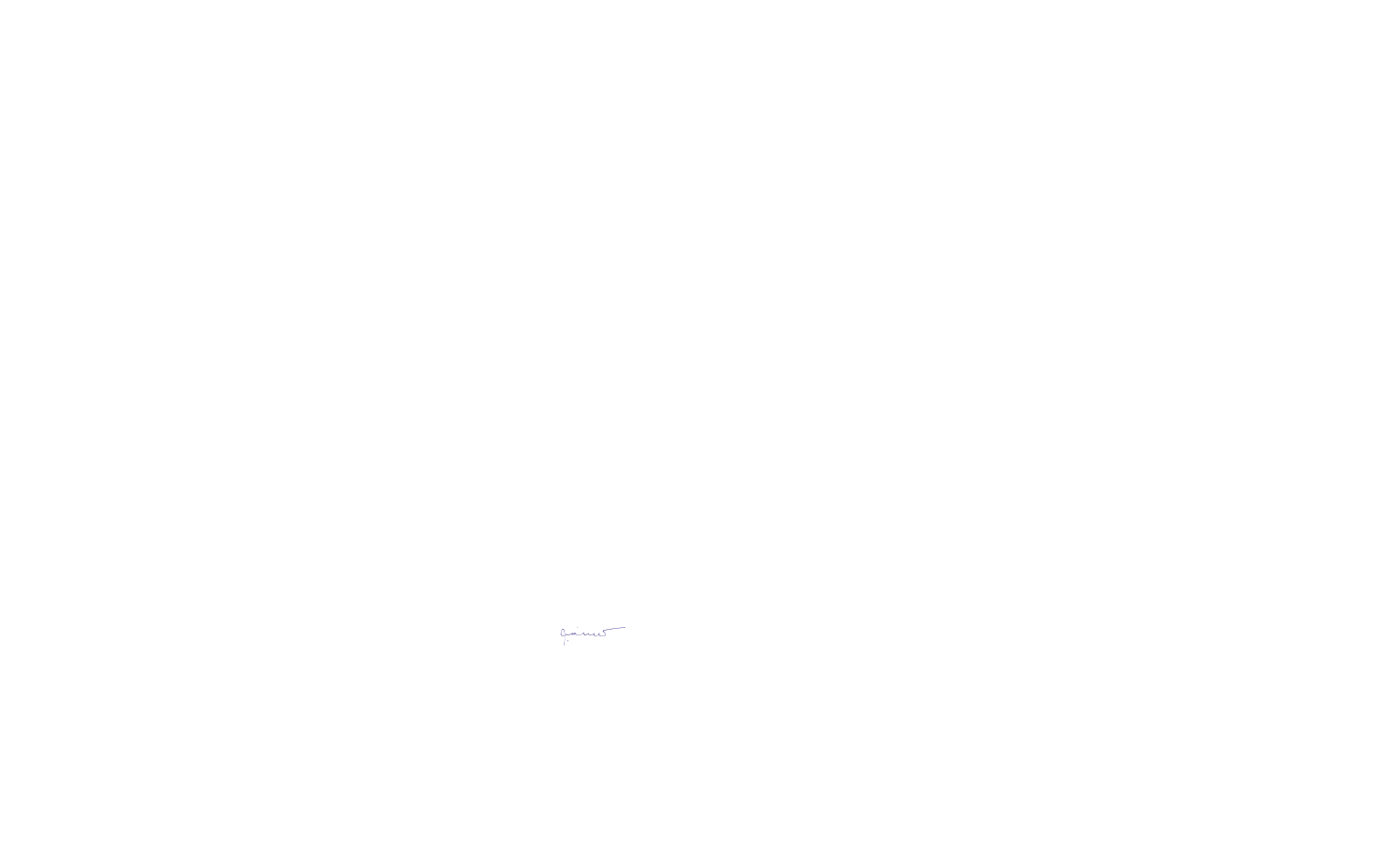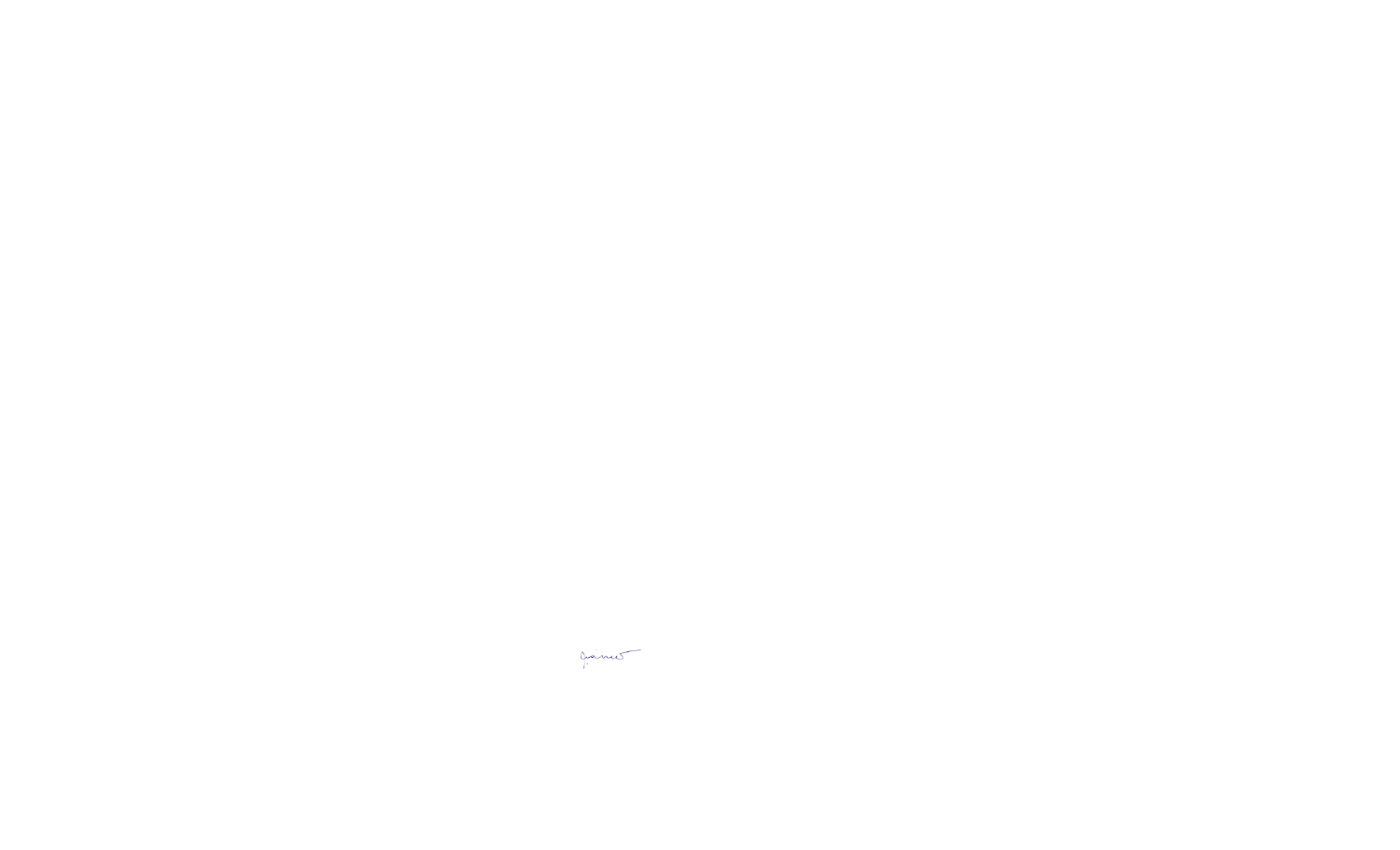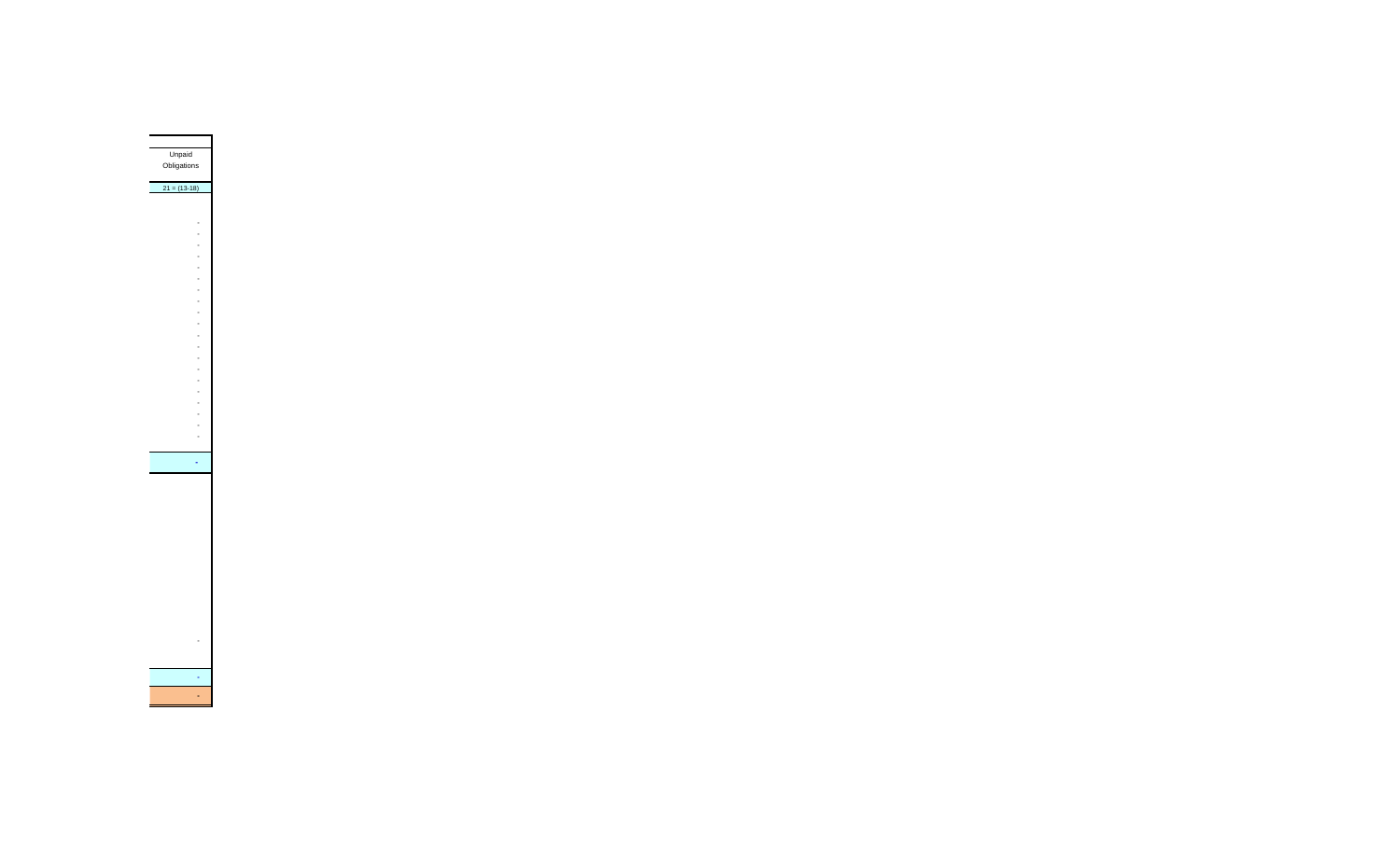